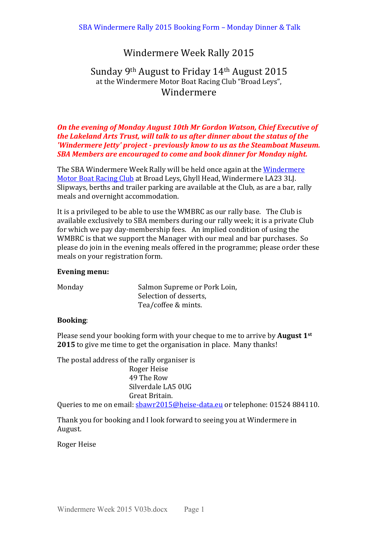# Windermere Week Rally 2015

# Sunday 9<sup>th</sup> August to Friday 14<sup>th</sup> August 2015 at the Windermere Motor Boat Racing Club "Broad Leys", Windermere

## **On the evening of Monday August 10th Mr Gordon Watson, Chief Executive of** *the Lakeland Arts Trust, will talk to us after dinner about the status of the 'Windermere Jetty' project - previously know to us as the Steamboat Museum.* **SBA Members are encouraged to come and book dinner for Monday night.**

The SBA Windermere Week Rally will be held once again at the Windermere Motor Boat Racing Club at Broad Leys, Ghyll Head, Windermere LA23 3LJ. Slipways, berths and trailer parking are available at the Club, as are a bar, rally meals and overnight accommodation.

It is a privileged to be able to use the WMBRC as our rally base. The Club is available exclusively to SBA members during our rally week; it is a private Club for which we pay day-membership fees. An implied condition of using the WMBRC is that we support the Manager with our meal and bar purchases. So please do join in the evening meals offered in the programme; please order these meals on your registration form.

#### Evening menu:

| Monday | Salmon Supreme or Pork Loin, |  |  |
|--------|------------------------------|--|--|
|        | Selection of desserts,       |  |  |
|        | Tea/coffee & mints.          |  |  |

## **Booking**:

Please send your booking form with your cheque to me to arrive by **August 1**<sup>st</sup> **2015** to give me time to get the organisation in place. Many thanks!

The postal address of the rally organiser is Roger Heise 49 The Row Silverdale LA5 0UG Great Britain.

Queries to me on email: sbawr2015@heise-data.eu or telephone: 01524 884110.

Thank you for booking and I look forward to seeing you at Windermere in August.

Roger Heise